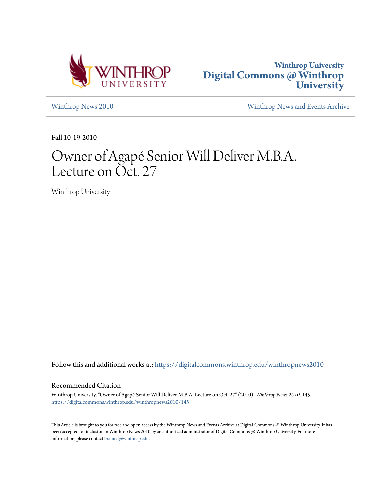



[Winthrop News 2010](https://digitalcommons.winthrop.edu/winthropnews2010?utm_source=digitalcommons.winthrop.edu%2Fwinthropnews2010%2F145&utm_medium=PDF&utm_campaign=PDFCoverPages) [Winthrop News and Events Archive](https://digitalcommons.winthrop.edu/winthropnewsarchives?utm_source=digitalcommons.winthrop.edu%2Fwinthropnews2010%2F145&utm_medium=PDF&utm_campaign=PDFCoverPages)

Fall 10-19-2010

## Owner of Agapé Senior Will Deliver M.B.A. Lecture on Oct. 27

Winthrop University

Follow this and additional works at: [https://digitalcommons.winthrop.edu/winthropnews2010](https://digitalcommons.winthrop.edu/winthropnews2010?utm_source=digitalcommons.winthrop.edu%2Fwinthropnews2010%2F145&utm_medium=PDF&utm_campaign=PDFCoverPages)

## Recommended Citation

Winthrop University, "Owner of Agapé Senior Will Deliver M.B.A. Lecture on Oct. 27" (2010). *Winthrop News 2010*. 145. [https://digitalcommons.winthrop.edu/winthropnews2010/145](https://digitalcommons.winthrop.edu/winthropnews2010/145?utm_source=digitalcommons.winthrop.edu%2Fwinthropnews2010%2F145&utm_medium=PDF&utm_campaign=PDFCoverPages)

This Article is brought to you for free and open access by the Winthrop News and Events Archive at Digital Commons @ Winthrop University. It has been accepted for inclusion in Winthrop News 2010 by an authorized administrator of Digital Commons @ Winthrop University. For more information, please contact [bramed@winthrop.edu](mailto:bramed@winthrop.edu).